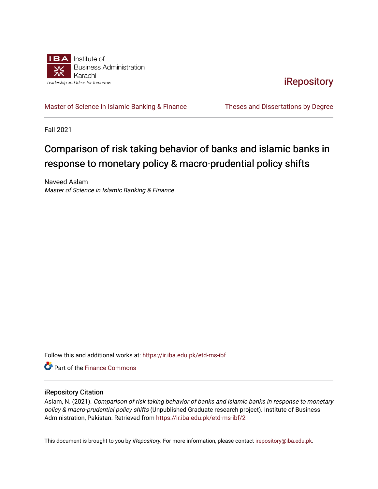

**iRepository** 

[Master of Science in Islamic Banking & Finance](https://ir.iba.edu.pk/etd-ms-ibf) Theses and Dissertations by Degree

Fall 2021

## Comparison of risk taking behavior of banks and islamic banks in response to monetary policy & macro-prudential policy shifts

Naveed Aslam Master of Science in Islamic Banking & Finance

Follow this and additional works at: [https://ir.iba.edu.pk/etd-ms-ibf](https://ir.iba.edu.pk/etd-ms-ibf?utm_source=ir.iba.edu.pk%2Fetd-ms-ibf%2F2&utm_medium=PDF&utm_campaign=PDFCoverPages)

**C** Part of the Finance Commons

#### iRepository Citation

Aslam, N. (2021). Comparison of risk taking behavior of banks and islamic banks in response to monetary policy & macro-prudential policy shifts (Unpublished Graduate research project). Institute of Business Administration, Pakistan. Retrieved from [https://ir.iba.edu.pk/etd-ms-ibf/2](https://ir.iba.edu.pk/etd-ms-ibf/2?utm_source=ir.iba.edu.pk%2Fetd-ms-ibf%2F2&utm_medium=PDF&utm_campaign=PDFCoverPages)

This document is brought to you by iRepository. For more information, please contact [irepository@iba.edu.pk](mailto:irepository@iba.edu.pk).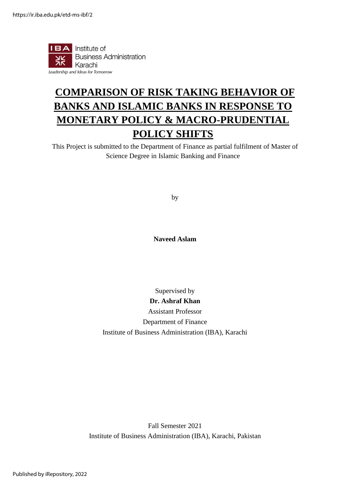

## **COMPARISON OF RISK TAKING BEHAVIOR OF BANKS AND ISLAMIC BANKS IN RESPONSE TO MONETARY POLICY & MACRO-PRUDENTIAL POLICY SHIFTS**

This Project is submitted to the Department of Finance as partial fulfilment of Master of Science Degree in Islamic Banking and Finance

by

**Naveed Aslam**

Supervised by

**Dr. Ashraf Khan** Assistant Professor Department of Finance Institute of Business Administration (IBA), Karachi

Fall Semester 2021 Institute of Business Administration (IBA), Karachi, Pakistan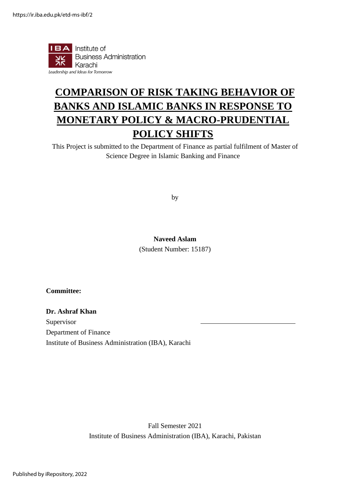

## **COMPARISON OF RISK TAKING BEHAVIOR OF BANKS AND ISLAMIC BANKS IN RESPONSE TO MONETARY POLICY & MACRO-PRUDENTIAL POLICY SHIFTS**

This Project is submitted to the Department of Finance as partial fulfilment of Master of Science Degree in Islamic Banking and Finance

by

#### **Naveed Aslam**

(Student Number: 15187)

**Committee:**

### **Dr. Ashraf Khan** Supervisor

Department of Finance Institute of Business Administration (IBA), Karachi

> Fall Semester 2021 Institute of Business Administration (IBA), Karachi, Pakistan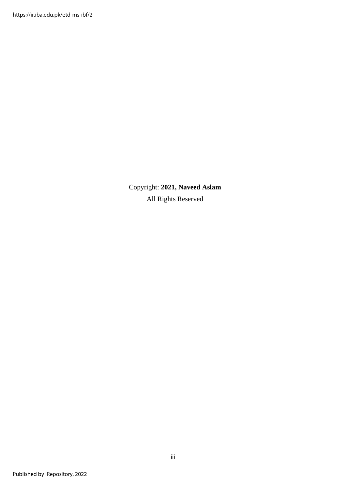Copyright: **2021, Naveed Aslam** All Rights Reserved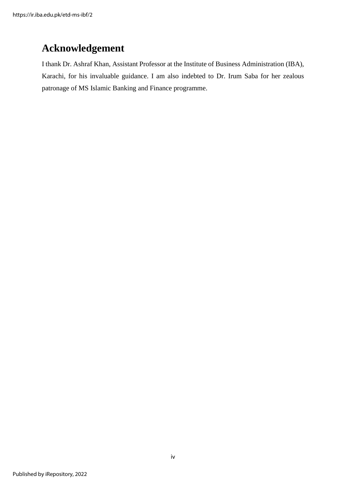### **Acknowledgement**

I thank Dr. Ashraf Khan, Assistant Professor at the Institute of Business Administration (IBA), Karachi, for his invaluable guidance. I am also indebted to Dr. Irum Saba for her zealous patronage of MS Islamic Banking and Finance programme.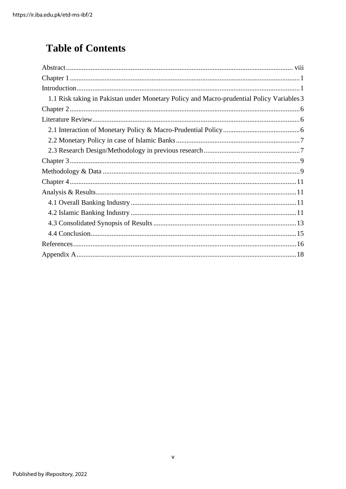## **Table of Contents**

| 1.1 Risk taking in Pakistan under Monetary Policy and Macro-prudential Policy Variables 3 |  |
|-------------------------------------------------------------------------------------------|--|
|                                                                                           |  |
|                                                                                           |  |
|                                                                                           |  |
|                                                                                           |  |
|                                                                                           |  |
|                                                                                           |  |
|                                                                                           |  |
|                                                                                           |  |
|                                                                                           |  |
|                                                                                           |  |
|                                                                                           |  |
|                                                                                           |  |
|                                                                                           |  |
|                                                                                           |  |
|                                                                                           |  |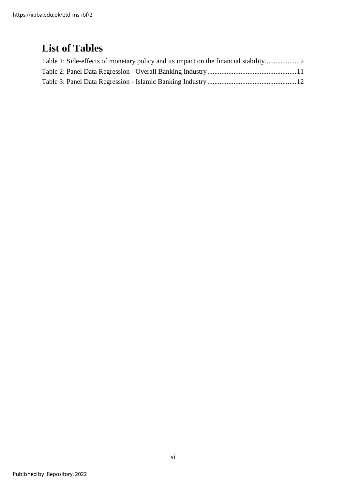### **List of Tables**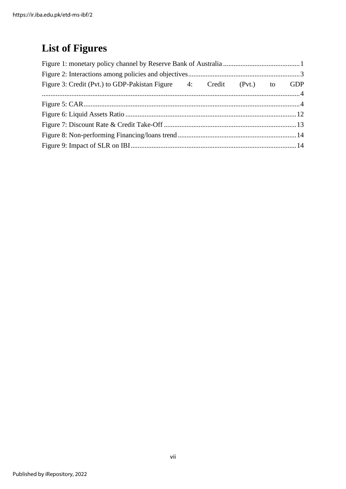## **List of Figures**

<span id="page-7-0"></span>

| Figure 3: Credit (Pvt.) to GDP-Pakistan Figure 4: Credit (Pvt.) to GDP |  |  |  |
|------------------------------------------------------------------------|--|--|--|
|                                                                        |  |  |  |
|                                                                        |  |  |  |
|                                                                        |  |  |  |
|                                                                        |  |  |  |
|                                                                        |  |  |  |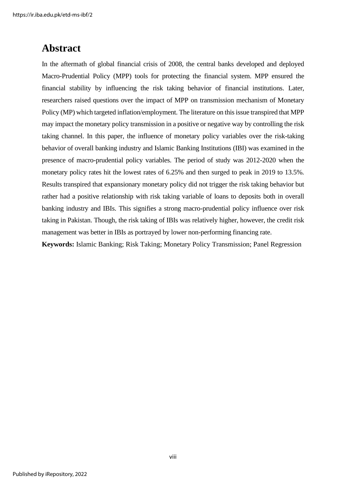### **Abstract**

In the aftermath of global financial crisis of 2008, the central banks developed and deployed Macro-Prudential Policy (MPP) tools for protecting the financial system. MPP ensured the financial stability by influencing the risk taking behavior of financial institutions. Later, researchers raised questions over the impact of MPP on transmission mechanism of Monetary Policy (MP) which targeted inflation/employment. The literature on this issue transpired that MPP may impact the monetary policy transmission in a positive or negative way by controlling the risk taking channel. In this paper, the influence of monetary policy variables over the risk-taking behavior of overall banking industry and Islamic Banking Institutions (IBI) was examined in the presence of macro-prudential policy variables. The period of study was 2012-2020 when the monetary policy rates hit the lowest rates of 6.25% and then surged to peak in 2019 to 13.5%. Results transpired that expansionary monetary policy did not trigger the risk taking behavior but rather had a positive relationship with risk taking variable of loans to deposits both in overall banking industry and IBIs. This signifies a strong macro-prudential policy influence over risk taking in Pakistan. Though, the risk taking of IBIs was relatively higher, however, the credit risk management was better in IBIs as portrayed by lower non-performing financing rate.

**Keywords:** Islamic Banking; Risk Taking; Monetary Policy Transmission; Panel Regression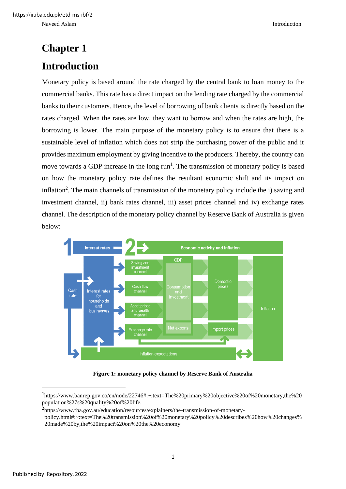# <span id="page-9-1"></span><span id="page-9-0"></span>**Chapter 1 Introduction**

Monetary policy is based around the rate charged by the central bank to loan money to the commercial banks. This rate has a direct impact on the lending rate charged by the commercial banks to their customers. Hence, the level of borrowing of bank clients is directly based on the rates charged. When the rates are low, they want to borrow and when the rates are high, the borrowing is lower. The main purpose of the monetary policy is to ensure that there is a sustainable level of inflation which does not strip the purchasing power of the public and it provides maximum employment by giving incentive to the producers. Thereby, the country can move towards a GDP increase in the long  $run<sup>1</sup>$ . The transmission of monetary policy is based on how the monetary policy rate defines the resultant economic shift and its impact on inflation<sup>2</sup>. The main channels of transmission of the monetary policy include the i) saving and investment channel, ii) bank rates channel, iii) asset prices channel and iv) exchange rates channel. The description of the monetary policy channel by Reserve Bank of Australia is given below:



**Figure 1: monetary policy channel by Reserve Bank of Australia**

<span id="page-9-2"></span>**<sup>1</sup>** https://www.banrep.gov.co/en/node/22746#:~:text=The%20primary%20objective%20of%20monetary,the%20 population%27s%20quality%20of%20life.

**<sup>2</sup>** [https://www.rba.gov.au/education/resources/explainers/the-transmission-of-monetary-](https://www.rba.gov.au/education/resources/explainers/the-transmission-of-monetary)

policy.html#:~:text=The%20transmission%20of%20monetary%20policy%20describes%20how%20changes% 20made%20by,the%20impact%20on%20the%20economy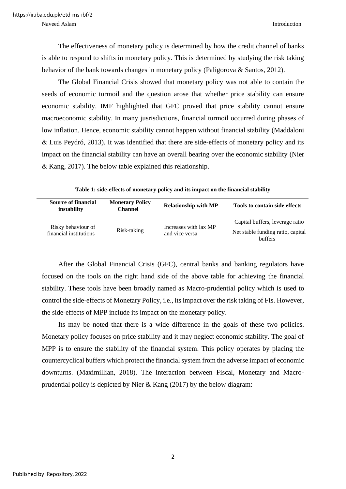Naveed Aslam Introduction and the state of the state of the state of the state of the state of the state of the state of the state of the state of the state of the state of the state of the state of the state of the state

The effectiveness of monetary policy is determined by how the credit channel of banks is able to respond to shifts in monetary policy. This is determined by studying the risk taking behavior of the bank towards changes in monetary policy (Paligorova & Santos, 2012).

The Global Financial Crisis showed that monetary policy was not able to contain the seeds of economic turmoil and the question arose that whether price stability can ensure economic stability. IMF highlighted that GFC proved that price stability cannot ensure macroeconomic stability. In many jusrisdictions, financial turmoil occurred during phases of low inflation. Hence, economic stability cannot happen without financial stability (Maddaloni & Luis Peydró, 2013). It was identified that there are side-effects of monetary policy and its impact on the financial stability can have an overall bearing over the economic stability (Nier & Kang, 2017). The below table explained this relationship.

<span id="page-10-0"></span>

| <b>Source of financial</b><br>instability    | <b>Monetary Policy</b><br><b>Channel</b> | <b>Relationship with MP</b>             | Tools to contain side effects                                                          |
|----------------------------------------------|------------------------------------------|-----------------------------------------|----------------------------------------------------------------------------------------|
| Risky behaviour of<br>financial institutions | Risk-taking                              | Increases with lax MP<br>and vice versa | Capital buffers, leverage ratio<br>Net stable funding ratio, capital<br><b>buffers</b> |

**Table 1: side-effects of monetary policy and its impact on the financial stability**

After the Global Financial Crisis (GFC), central banks and banking regulators have focused on the tools on the right hand side of the above table for achieving the financial stability. These tools have been broadly named as Macro-prudential policy which is used to control the side-effects of Monetary Policy, i.e., its impact over the risk taking of FIs. However, the side-effects of MPP include its impact on the monetary policy.

Its may be noted that there is a wide difference in the goals of these two policies. Monetary policy focuses on price stability and it may neglect economic stability. The goal of MPP is to ensure the stability of the financial system. This policy operates by placing the countercyclical buffers which protect the financial system from the adverse impact of economic downturns. (Maximillian, 2018). The interaction between Fiscal, Monetary and Macroprudential policy is depicted by Nier & Kang (2017) by the below diagram: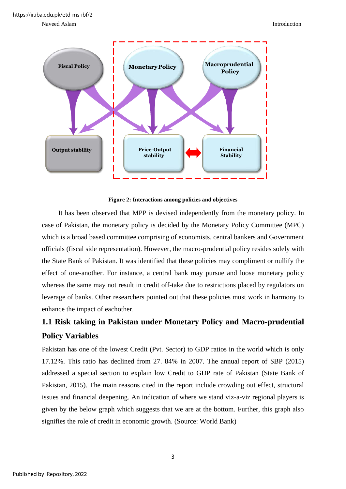https://ir.iba.edu.pk/etd-ms-ibf/2

Naveed Aslam Introduction and the state of the state of the state of the state of the state of the state of the state of the state of the state of the state of the state of the state of the state of the state of the state



**Figure 2: Interactions among policies and objectives**

<span id="page-11-1"></span>It has been observed that MPP is devised independently from the monetary policy. In case of Pakistan, the monetary policy is decided by the Monetary Policy Committee (MPC) which is a broad based committee comprising of economists, central bankers and Government officials (fiscal side representation). However, the macro-prudential policy resides solely with the State Bank of Pakistan. It was identified that these policies may compliment or nullify the effect of one-another. For instance, a central bank may pursue and loose monetary policy whereas the same may not result in credit off-take due to restrictions placed by regulators on leverage of banks. Other researchers pointed out that these policies must work in harmony to enhance the impact of eachother.

### <span id="page-11-0"></span>**1.1 Risk taking in Pakistan under Monetary Policy and Macro-prudential Policy Variables**

Pakistan has one of the lowest Credit (Pvt. Sector) to GDP ratios in the world which is only 17.12%. This ratio has declined from 27. 84% in 2007. The annual report of SBP (2015) addressed a special section to explain low Credit to GDP rate of Pakistan (State Bank of Pakistan, 2015). The main reasons cited in the report include crowding out effect, structural issues and financial deepening. An indication of where we stand viz-a-viz regional players is given by the below graph which suggests that we are at the bottom. Further, this graph also signifies the role of credit in economic growth. (Source: World Bank)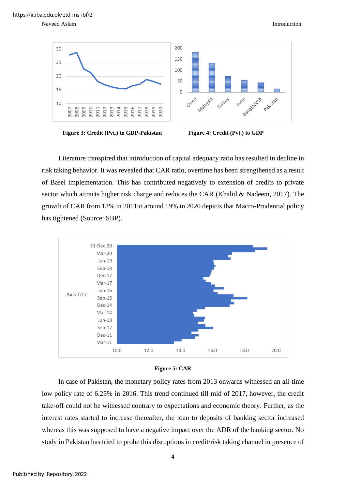

<span id="page-12-0"></span>**Figure 3: Credit (Pvt.) to GDP-Pakistan Figure 4: Credit (Pvt.) to GDP**

Literature transpired that introduction of capital adequacy ratio has resulted in decline in risk taking behavior. It was revealed that CAR ratio, overtime has been strengthened as a result of Basel implementation. This has contributed negatively to extension of credits to private sector which attracts higher risk charge and reduces the CAR (Khalid & Nadeem, 2017). The growth of CAR from 13% in 2011to around 19% in 2020 depicts that Macro-Prudential policy has tightened (Source: SBP).





<span id="page-12-1"></span>In case of Pakistan, the monetary policy rates from 2013 onwards witnessed an all-time low policy rate of 6.25% in 2016. This trend continued till mid of 2017, however, the credit take-off could not be witnessed contrary to expectations and economic theory. Further, as the interest rates started to increase thereafter, the loan to deposits of banking sector increased whereas this was supposed to have a negative impact over the ADR of the banking sector. No study in Pakistan has tried to probe this disruptions in credit/risk taking channel in presence of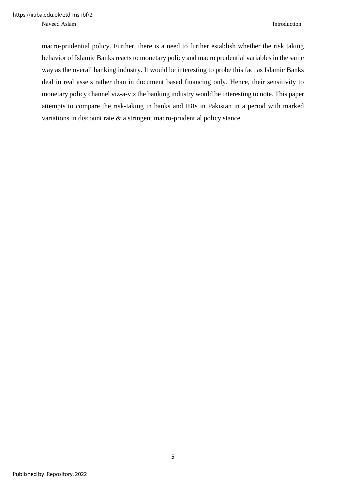Naveed Aslam Introduction

macro-prudential policy. Further, there is a need to further establish whether the risk taking behavior of Islamic Banks reacts to monetary policy and macro prudential variables in the same way as the overall banking industry. It would be interesting to probe this fact as Islamic Banks deal in real assets rather than in document based financing only. Hence, their sensitivity to monetary policy channel viz-a-viz the banking industry would be interesting to note. This paper attempts to compare the risk-taking in banks and IBIs in Pakistan in a period with marked variations in discount rate & a stringent macro-prudential policy stance.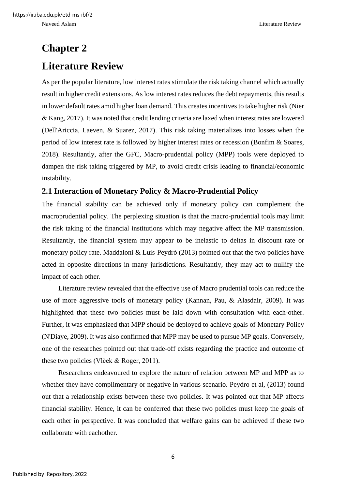## <span id="page-14-1"></span><span id="page-14-0"></span>**Chapter 2 Literature Review**

As per the popular literature, low interest rates stimulate the risk taking channel which actually result in higher credit extensions. As low interest rates reduces the debt repayments, this results in lower default rates amid higher loan demand. This creates incentives to take higher risk (Nier & Kang, 2017). It was noted that credit lending criteria are laxed when interest rates are lowered (Dell'Ariccia, Laeven, & Suarez, 2017). This risk taking materializes into losses when the period of low interest rate is followed by higher interest rates or recession (Bonfim & Soares, 2018). Resultantly, after the GFC, Macro-prudential policy (MPP) tools were deployed to dampen the risk taking triggered by MP, to avoid credit crisis leading to financial/economic instability.

#### <span id="page-14-2"></span>**2.1 Interaction of Monetary Policy & Macro-Prudential Policy**

The financial stability can be achieved only if monetary policy can complement the macroprudential policy. The perplexing situation is that the macro-prudential tools may limit the risk taking of the financial institutions which may negative affect the MP transmission. Resultantly, the financial system may appear to be inelastic to deltas in discount rate or monetary policy rate. Maddaloni & Luis-Peydró (2013) pointed out that the two policies have acted in opposite directions in many jurisdictions. Resultantly, they may act to nullify the impact of each other.

Literature review revealed that the effective use of Macro prudential tools can reduce the use of more aggressive tools of monetary policy (Kannan, Pau, & Alasdair, 2009). It was highlighted that these two policies must be laid down with consultation with each-other. Further, it was emphasized that MPP should be deployed to achieve goals of Monetary Policy (N'Diaye, 2009). It was also confirmed that MPP may be used to pursue MP goals. Conversely, one of the researches pointed out that trade-off exists regarding the practice and outcome of these two policies (Vlček & Roger, 2011).

Researchers endeavoured to explore the nature of relation between MP and MPP as to whether they have complimentary or negative in various scenario. Peydro et al,  $(2013)$  found out that a relationship exists between these two policies. It was pointed out that MP affects financial stability. Hence, it can be conferred that these two policies must keep the goals of each other in perspective. It was concluded that welfare gains can be achieved if these two collaborate with eachother.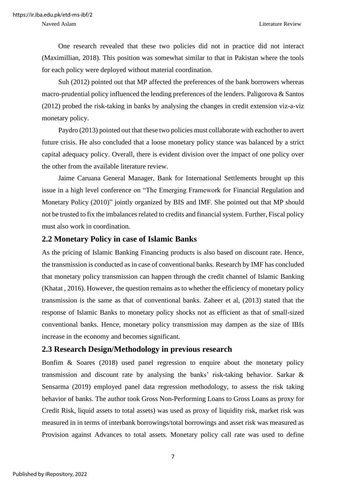One research revealed that these two policies did not in practice did not interact (Maximillian, 2018). This position was somewhat similar to that in Pakistan where the tools for each policy were deployed without material coordination.

Suh (2012) pointed out that MP affected the preferences of the bank borrowers whereas macro-prudential policy influenced the lending preferences of the lenders. Paligorova & Santos (2012) probed the risk-taking in banks by analysing the changes in credit extension viz-a-viz monetary policy.

Paydro (2013) pointed out that these two policies must collaborate with eachother to avert future crisis. He also concluded that a loose monetary policy stance was balanced by a strict capital adequacy policy. Overall, there is evident division over the impact of one policy over the other from the available literature review.

Jaime Caruana General Manager, Bank for International Settlements brought up this issue in a high level conference on "The Emerging Framework for Financial Regulation and Monetary Policy (2010)" jointly organized by BIS and IMF. She pointed out that MP should not be trusted to fix the imbalances related to credits and financial system. Further, Fiscal policy must also work in coordination.

#### <span id="page-15-0"></span>**2.2 Monetary Policy in case of Islamic Banks**

As the pricing of Islamic Banking Financing products is also based on discount rate. Hence, the transmission is conducted as in case of conventional banks. Research by IMF has concluded that monetary policy transmission can happen through the credit channel of Islamic Banking (Khatat , 2016). However, the question remains as to whether the efficiency of monetary policy transmission is the same as that of conventional banks. Zaheer et al, (2013) stated that the response of Islamic Banks to monetary policy shocks not as efficient as that of small-sized conventional banks. Hence, monetary policy transmission may dampen as the size of IBIs increase in the economy and becomes significant.

#### <span id="page-15-1"></span>**2.3 Research Design/Methodology in previous research**

Bonfim & Soares (2018) used panel regression to enquire about the monetary policy transmission and discount rate by analysing the banks' risk-taking behavior. Sarkar  $\&$ Sensarma (2019) employed panel data regression methodology, to assess the risk taking behavior of banks. The author took Gross Non-Performing Loans to Gross Loans as proxy for Credit Risk, liquid assets to total assets) was used as proxy of liquidity risk, market risk was measured in in terms of interbank borrowings/total borrowings and asset risk was measured as Provision against Advances to total assets. Monetary policy call rate was used to define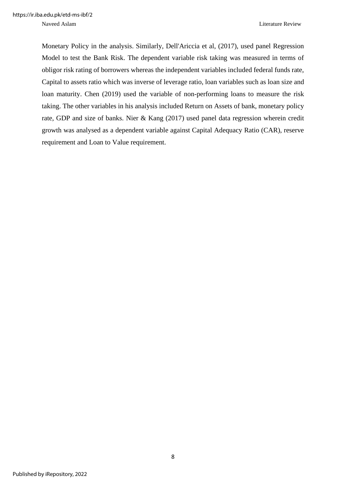Naveed Aslam Literature Review

Monetary Policy in the analysis. Similarly, Dell'Ariccia et al, (2017), used panel Regression Model to test the Bank Risk. The dependent variable risk taking was measured in terms of obligor risk rating of borrowers whereas the independent variables included federal funds rate, Capital to assets ratio which was inverse of leverage ratio, loan variables such as loan size and loan maturity. Chen (2019) used the variable of non-performing loans to measure the risk taking. The other variables in his analysis included Return on Assets of bank, monetary policy rate, GDP and size of banks. Nier & Kang (2017) used panel data regression wherein credit growth was analysed as a dependent variable against Capital Adequacy Ratio (CAR), reserve requirement and Loan to Value requirement.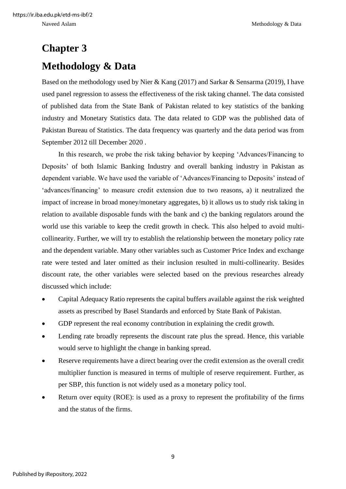## <span id="page-17-1"></span><span id="page-17-0"></span>**Chapter 3 Methodology & Data**

Based on the methodology used by Nier & Kang (2017) and Sarkar & Sensarma (2019), I have used panel regression to assess the effectiveness of the risk taking channel. The data consisted of published data from the State Bank of Pakistan related to key statistics of the banking industry and Monetary Statistics data. The data related to GDP was the published data of Pakistan Bureau of Statistics. The data frequency was quarterly and the data period was from September 2012 till December 2020 .

In this research, we probe the risk taking behavior by keeping 'Advances/Financing to Deposits' of both Islamic Banking Industry and overall banking industry in Pakistan as dependent variable. We have used the variable of 'Advances/Financing to Deposits' instead of 'advances/financing' to measure credit extension due to two reasons, a) it neutralized the impact of increase in broad money/monetary aggregates, b) it allows us to study risk taking in relation to available disposable funds with the bank and c) the banking regulators around the world use this variable to keep the credit growth in check. This also helped to avoid multicollinearity. Further, we will try to establish the relationship between the monetary policy rate and the dependent variable. Many other variables such as Customer Price Index and exchange rate were tested and later omitted as their inclusion resulted in multi-collinearity. Besides discount rate, the other variables were selected based on the previous researches already discussed which include:

- Capital Adequacy Ratio represents the capital buffers available against the risk weighted assets as prescribed by Basel Standards and enforced by State Bank of Pakistan.
- GDP represent the real economy contribution in explaining the credit growth.
- Lending rate broadly represents the discount rate plus the spread. Hence, this variable would serve to highlight the change in banking spread.
- Reserve requirements have a direct bearing over the credit extension as the overall credit multiplier function is measured in terms of multiple of reserve requirement. Further, as per SBP, this function is not widely used as a monetary policy tool.
- Return over equity (ROE): is used as a proxy to represent the profitability of the firms and the status of the firms.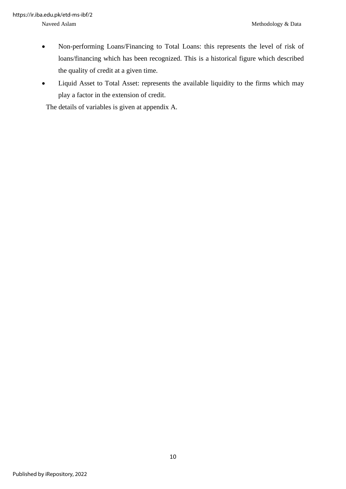- Non-performing Loans/Financing to Total Loans: this represents the level of risk of loans/financing which has been recognized. This is a historical figure which described the quality of credit at a given time.
- Liquid Asset to Total Asset: represents the available liquidity to the firms which may play a factor in the extension of credit.

The details of variables is given at appendix A.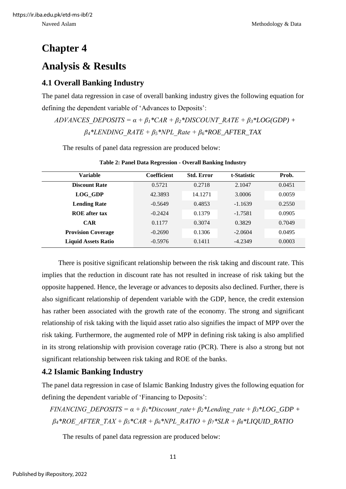### <span id="page-19-0"></span>**Chapter 4**

### <span id="page-19-1"></span>**Analysis & Results**

### <span id="page-19-2"></span>**4.1 Overall Banking Industry**

The panel data regression in case of overall banking industry gives the following equation for defining the dependent variable of 'Advances to Deposits':

*ADVANCES* DEPOSITS =  $\alpha + \beta_1$ <sup>\*</sup>CAR +  $\beta_2$ <sup>\*</sup>DISCOUNT\_RATE +  $\beta_3$ <sup>\*</sup>LOG(GDP) +  $\beta$ <sup>*\*LENDING\_RATE + β*<sup>*5*</sup>*\*NPL\_Rate + β*<sup>*6*</sup>*\*ROE\_AFTER\_TAX*</sup>

The results of panel data regression are produced below:

<span id="page-19-4"></span>

| <b>Variable</b>            | <b>Coefficient</b> | <b>Std. Error</b> | t-Statistic | Prob.  |
|----------------------------|--------------------|-------------------|-------------|--------|
| <b>Discount Rate</b>       | 0.5721             | 0.2718            | 2.1047      | 0.0451 |
| LOG GDP                    | 42.3893            | 14.1271           | 3.0006      | 0.0059 |
| <b>Lending Rate</b>        | $-0.5649$          | 0.4853            | $-1.1639$   | 0.2550 |
| <b>ROE</b> after tax       | $-0.2424$          | 0.1379            | $-1.7581$   | 0.0905 |
| <b>CAR</b>                 | 0.1177             | 0.3074            | 0.3829      | 0.7049 |
| <b>Provision Coverage</b>  | $-0.2690$          | 0.1306            | $-2.0604$   | 0.0495 |
| <b>Liquid Assets Ratio</b> | $-0.5976$          | 0.1411            | $-4.2349$   | 0.0003 |

**Table 2: Panel Data Regression - Overall Banking Industry**

There is positive significant relationship between the risk taking and discount rate. This implies that the reduction in discount rate has not resulted in increase of risk taking but the opposite happened. Hence, the leverage or advances to deposits also declined. Further, there is also significant relationship of dependent variable with the GDP, hence, the credit extension has rather been associated with the growth rate of the economy. The strong and significant relationship of risk taking with the liquid asset ratio also signifies the impact of MPP over the risk taking. Furthermore, the augmented role of MPP in defining risk taking is also amplified in its strong relationship with provision coverage ratio (PCR). There is also a strong but not significant relationship between risk taking and ROE of the banks.

#### <span id="page-19-3"></span>**4.2 Islamic Banking Industry**

The panel data regression in case of Islamic Banking Industry gives the following equation for defining the dependent variable of 'Financing to Deposits':

*FINANCING DEPOSITS* =  $\alpha + \beta_1$ <sup>\*</sup>Discount rate +  $\beta_2$ <sup>\*</sup>Lending rate +  $\beta_3$ <sup>\*</sup>LOG\_GDP + *β4\*ROE\_AFTER\_TAX + β5\*CAR + β6\*NPL\_RATIO + β7\*SLR + β8\*LIQUID\_RATIO*

The results of panel data regression are produced below: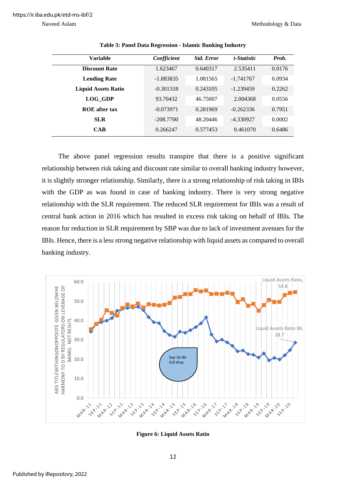<span id="page-20-0"></span>

| Variable                   | Coefficient | <b>Std. Error</b> | t-Statistic | Prob.  |
|----------------------------|-------------|-------------------|-------------|--------|
| <b>Discount Rate</b>       | 1.623467    | 0.640317          | 2.535411    | 0.0176 |
| <b>Lending Rate</b>        | $-1.883835$ | 1.081565          | $-1.741767$ | 0.0934 |
| <b>Liquid Assets Ratio</b> | $-0.301318$ | 0.243105          | $-1.239459$ | 0.2262 |
| LOG GDP                    | 93.70432    | 46.75007          | 2.004368    | 0.0556 |
| <b>ROE</b> after tax       | $-0.073971$ | 0.281969          | $-0.262336$ | 0.7951 |
| <b>SLR</b>                 | $-208.7700$ | 48.20446          | -4.330927   | 0.0002 |
| <b>CAR</b>                 | 0.266247    | 0.577453          | 0.461070    | 0.6486 |

**Table 3: Panel Data Regression - Islamic Banking Industry**

The above panel regression results transpire that there is a positive significant relationship between risk taking and discount rate similar to overall banking industry however, it is slightly stronger relationship. Similarly, there is a strong relationship of risk taking in IBIs with the GDP as was found in case of banking industry. There is very strong negative relationship with the SLR requirement. The reduced SLR requirement for IBIs was a result of central bank action in 2016 which has resulted in excess risk taking on behalf of IBIs. The reason for reduction in SLR requirement by SBP was due to lack of investment avenues for the IBIs. Hence, there is a less strong negative relationship with liquid assets as compared to overall banking industry.



<span id="page-20-1"></span>**Figure 6: Liquid Assets Ratio**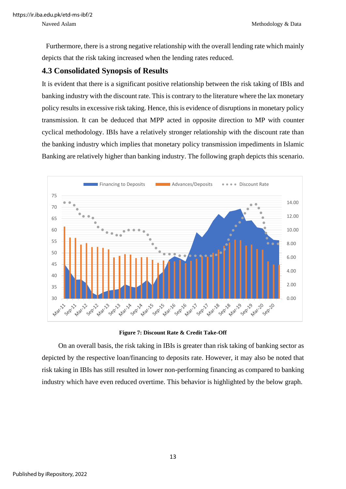Furthermore, there is a strong negative relationship with the overall lending rate which mainly depicts that the risk taking increased when the lending rates reduced.

#### <span id="page-21-0"></span>**4.3 Consolidated Synopsis of Results**

It is evident that there is a significant positive relationship between the risk taking of IBIs and banking industry with the discount rate. This is contrary to the literature where the lax monetary policy results in excessive risk taking. Hence, this is evidence of disruptions in monetary policy transmission. It can be deduced that MPP acted in opposite direction to MP with counter cyclical methodology. IBIs have a relatively stronger relationship with the discount rate than the banking industry which implies that monetary policy transmission impediments in Islamic Banking are relatively higher than banking industry. The following graph depicts this scenario.



**Figure 7: Discount Rate & Credit Take-Off**

<span id="page-21-1"></span>On an overall basis, the risk taking in IBIs is greater than risk taking of banking sector as depicted by the respective loan/financing to deposits rate. However, it may also be noted that risk taking in IBIs has still resulted in lower non-performing financing as compared to banking industry which have even reduced overtime. This behavior is highlighted by the below graph.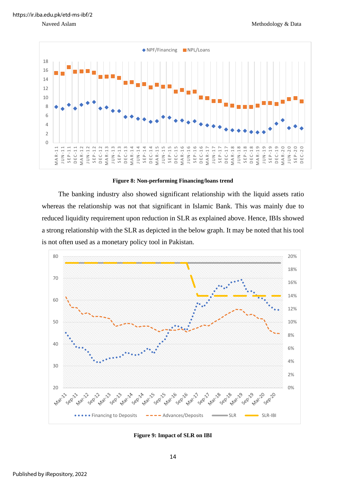

#### **Figure 8: Non-performing Financing/loans trend**

<span id="page-22-0"></span>The banking industry also showed significant relationship with the liquid assets ratio whereas the relationship was not that significant in Islamic Bank. This was mainly due to reduced liquidity requirement upon reduction in SLR as explained above. Hence, IBIs showed a strong relationship with the SLR as depicted in the below graph. It may be noted that his tool is not often used as a monetary policy tool in Pakistan.



<span id="page-22-1"></span>**Figure 9: Impact of SLR on IBI**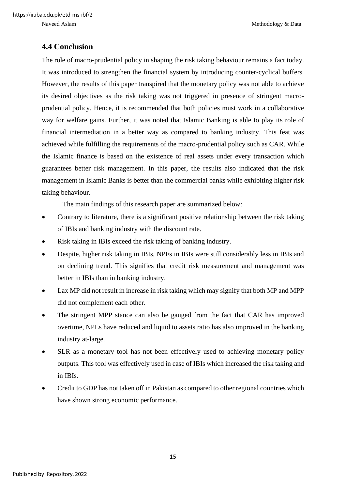Naveed Aslam Methodology & Data

#### <span id="page-23-0"></span>**4.4 Conclusion**

The role of macro-prudential policy in shaping the risk taking behaviour remains a fact today. It was introduced to strengthen the financial system by introducing counter-cyclical buffers. However, the results of this paper transpired that the monetary policy was not able to achieve its desired objectives as the risk taking was not triggered in presence of stringent macroprudential policy. Hence, it is recommended that both policies must work in a collaborative way for welfare gains. Further, it was noted that Islamic Banking is able to play its role of financial intermediation in a better way as compared to banking industry. This feat was achieved while fulfilling the requirements of the macro-prudential policy such as CAR. While the Islamic finance is based on the existence of real assets under every transaction which guarantees better risk management. In this paper, the results also indicated that the risk management in Islamic Banks is better than the commercial banks while exhibiting higher risk taking behaviour.

The main findings of this research paper are summarized below:

- Contrary to literature, there is a significant positive relationship between the risk taking of IBIs and banking industry with the discount rate.
- Risk taking in IBIs exceed the risk taking of banking industry.
- Despite, higher risk taking in IBIs, NPFs in IBIs were still considerably less in IBIs and on declining trend. This signifies that credit risk measurement and management was better in IBIs than in banking industry.
- Lax MP did not result in increase in risk taking which may signify that both MP and MPP did not complement each other.
- The stringent MPP stance can also be gauged from the fact that CAR has improved overtime, NPLs have reduced and liquid to assets ratio has also improved in the banking industry at-large.
- SLR as a monetary tool has not been effectively used to achieving monetary policy outputs. This tool was effectively used in case of IBIs which increased the risk taking and in IBIs.
- Credit to GDP has not taken off in Pakistan as compared to other regional countries which have shown strong economic performance.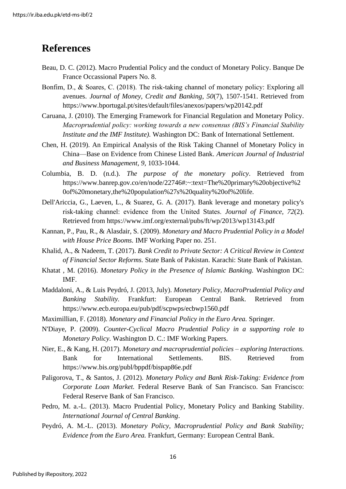### <span id="page-24-0"></span>**References**

- Beau, D. C. (2012). Macro Prudential Policy and the conduct of Monetary Policy. Banque De France Occassional Papers No. 8.
- Bonfim, D., & Soares, C. (2018). The risk-taking channel of monetary policy: Exploring all avenues. *Journal of Money, Credit and Banking, 50*(7), 1507-1541. Retrieved from https://www.bportugal.pt/sites/default/files/anexos/papers/wp20142.pdf
- Caruana, J. (2010). The Emerging Framework for Financial Regulation and Monetary Policy. *Macroprudential policy: working towards a new consensus (BIS's Financial Stability Institute and the IMF Institute).* Washington DC: Bank of International Settlement.
- Chen, H. (2019). An Empirical Analysis of the Risk Taking Channel of Monetary Policy in China—Base on Evidence from Chinese Listed Bank. *American Journal of Industrial and Business Management, 9*, 1033-1044.
- Columbia, B. D. (n.d.). *The purpose of the monetary policy*. Retrieved from https://www.banrep.gov.co/en/node/22746#:~:text=The%20primary%20objective%2 0of%20monetary,the%20population%27s%20quality%20of%20life.
- Dell'Ariccia, G., Laeven, L., & Suarez, G. A. (2017). Bank leverage and monetary policy's risk‐taking channel: evidence from the United States. *Journal of Finance, 72*(2). Retrieved from https://www.imf.org/external/pubs/ft/wp/2013/wp13143.pdf
- Kannan, P., Pau, R., & Alasdair, S. (2009). *Monetary and Macro Prudential Policy in a Model with House Price Booms.* IMF Working Paper no. 251.
- Khalid, A., & Nadeem, T. (2017). *Bank Credit to Private Sector: A Critical Review in Context of Financial Sector Reforms.* State Bank of Pakistan. Karachi: State Bank of Pakistan.
- Khatat , M. (2016). *Monetary Policy in the Presence of Islamic Banking.* Washington DC: IMF.
- Maddaloni, A., & Luis Peydró, J. (2013, July). *Monetary Policy, MacroPrudential Policy and Banking Stability.* Frankfurt: European Central Bank. Retrieved from https://www.ecb.europa.eu/pub/pdf/scpwps/ecbwp1560.pdf
- Maximillian, F. (2018). *Monetary and Financial Policy in the Euro Area.* Springer.
- N'Diaye, P. (2009). *Counter-Cyclical Macro Prudential Policy in a supporting role to Monetary Policy.* Washington D. C.: IMF Working Papers.
- Nier, E., & Kang, H. (2017). *Monetary and macroprudential policies – exploring Interactions.* Bank for International Settlements. BIS. Retrieved from https://www.bis.org/publ/bppdf/bispap86e.pdf
- Paligorova, T., & Santos, J. (2012). *Monetary Policy and Bank Risk-Taking: Evidence from Corporate Loan Market.* Federal Reserve Bank of San Francisco. San Francisco: Federal Reserve Bank of San Francisco.
- Pedro, M. a.-L. (2013). Macro Prudential Policy, Monetary Policy and Banking Stability. *International Journal of Central Banking*.
- Peydró, A. M.-L. (2013). *Monetary Policy, Macroprudential Policy and Bank Stability; Evidence from the Euro Area.* Frankfurt, Germany: European Central Bank.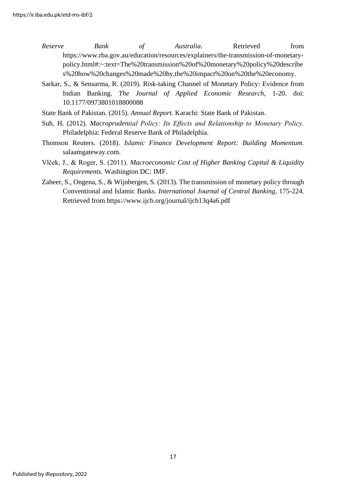- *Reserve Bank of Australia*. Retrieved from https://www.rba.gov.au/education/resources/explainers/the-transmission-of-monetarypolicy.html#:~:text=The%20transmission%20of%20monetary%20policy%20describe s%20how%20changes%20made%20by,the%20impact%20on%20the%20economy.
- Sarkar, S., & Sensarma, R. (2019). Risk-taking Channel of Monetary Policy: Evidence from Indian Banking. *The Journal of Applied Economic Research*, 1-20. doi: 10.1177/0973801018800088
- State Bank of Pakistan. (2015). *Annual Report.* Karachi: State Bank of Pakistan.
- Suh, H. (2012). *Macroprudential Policy: Its Effects and Relationship to Monetary Policy.* Philadelphia: Federal Reserve Bank of Philadelphia.
- Thomson Reuters. (2018). *Islamic Finance Development Report: Building Momentum.* salaamgateway.com.
- Vlček, J., & Roger, S. (2011). *Macroeconomic Cost of Higher Banking Capital & Liquidity Requirements.* Washington DC: IMF.
- Zaheer, S., Ongena, S., & Wijnbergen, S. (2013). The transmission of monetary policy through Conventional and Islamic Banks. *International Journal of Central Banking*, 175-224. Retrieved from https://www.ijcb.org/journal/ijcb13q4a6.pdf